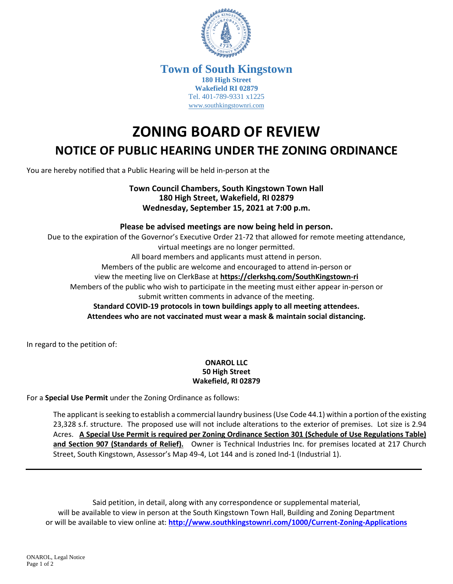

## **Town of South Kingstown 180 High Street Wakefield RI 02879** Tel. 401-789-9331 x1225 [www.southkingstownri.com](http://www.southkingstownri.com/)

# **ZONING BOARD OF REVIEW NOTICE OF PUBLIC HEARING UNDER THE ZONING ORDINANCE**

You are hereby notified that a Public Hearing will be held in-person at the

# **Town Council Chambers, South Kingstown Town Hall 180 High Street, Wakefield, RI 02879 Wednesday, September 15, 2021 at 7:00 p.m.**

# **Please be advised meetings are now being held in person.**

Due to the expiration of the Governor's Executive Order 21-72 that allowed for remote meeting attendance, virtual meetings are no longer permitted. All board members and applicants must attend in person. Members of the public are welcome and encouraged to attend in-person or view the meeting live on ClerkBase at **<https://clerkshq.com/SouthKingstown-ri>** Members of the public who wish to participate in the meeting must either appear in-person or submit written comments in advance of the meeting. **Standard COVID-19 protocols in town buildings apply to all meeting attendees. Attendees who are not vaccinated must wear a mask & maintain social distancing.** 

In regard to the petition of:

#### **ONAROL LLC 50 High Street Wakefield, RI 02879**

For a **Special Use Permit** under the Zoning Ordinance as follows:

The applicant is seeking to establish a commercial laundry business (Use Code 44.1) within a portion of the existing 23,328 s.f. structure. The proposed use will not include alterations to the exterior of premises. Lot size is 2.94 Acres. **A Special Use Permit is required per Zoning Ordinance Section 301 (Schedule of Use Regulations Table) and Section 907 (Standards of Relief).** Owner is Technical Industries Inc. for premises located at 217 Church Street, South Kingstown, Assessor's Map 49-4, Lot 144 and is zoned Ind-1 (Industrial 1).

Said petition, in detail, along with any correspondence or supplemental material, will be available to view in person at the South Kingstown Town Hall, Building and Zoning Department or will be available to view online at: **<http://www.southkingstownri.com/1000/Current-Zoning-Applications>**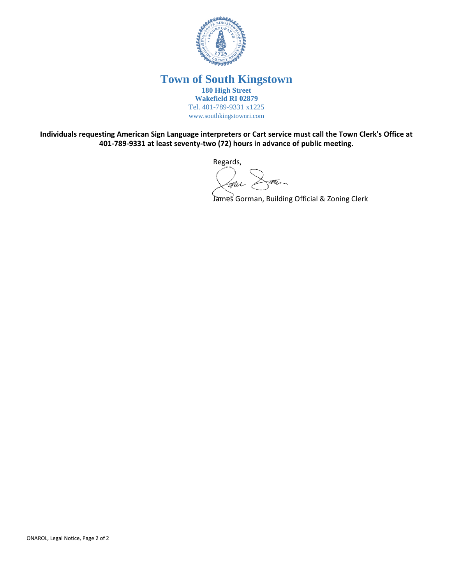

## **Town of South Kingstown 180 High Street Wakefield RI 02879** Tel. 401-789-9331 x1225 [www.southkingstownri.com](http://www.southkingstownri.com/)

**Individuals requesting American Sign Language interpreters or Cart service must call the Town Clerk's Office at 401-789-9331 at least seventy-two (72) hours in advance of public meeting.** 

Regards,

Latier Dann

James Gorman, Building Official & Zoning Clerk